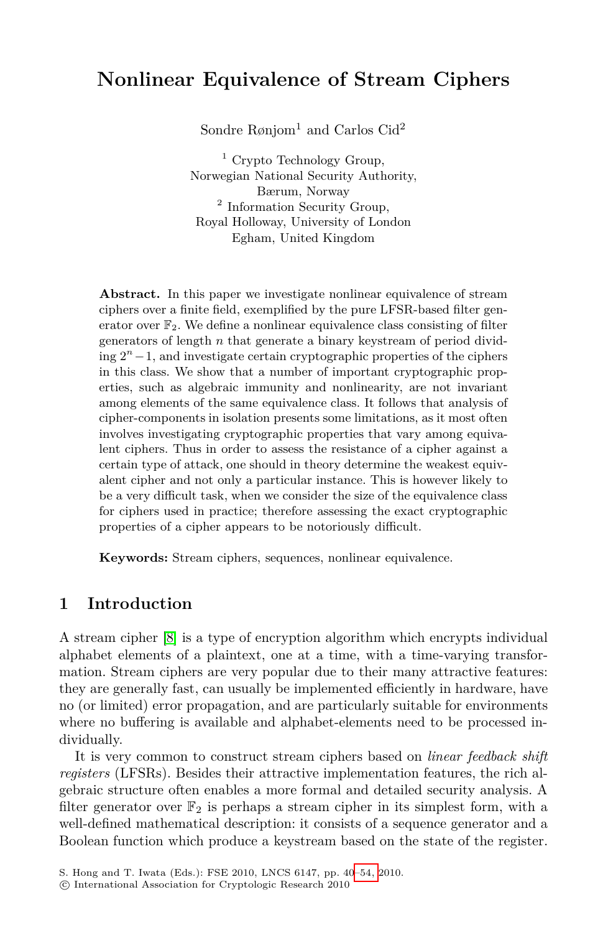# **Nonlinear Equivalence of Stream Ciphers**

Sondre Rønjom<sup>1</sup> and Carlos Cid<sup>2</sup>

<sup>1</sup> Crypto Technology Group, Norwegian National Security Authority, Bærum, Norway <sup>2</sup> Information Security Group, Royal Holloway, University of London Egham, United Kingdom

Abstract. In this paper we investigate nonlinear equivalence of stream ciphers over a finite field, exemplified by the pure LFSR-based filter generator over  $\mathbb{F}_2$ . We define a nonlinear equivalence class consisting of filter generators of length *n* that generate a binary keystream of period dividing 2*<sup>n</sup>−*1, and investigate certain cryptographic properties of the ciphers in this class. We show that a number of important cryptographic properties, such as algebraic immunity and nonlinearity, are not invariant among elements of the same equivalence class. It follows that analysis of cipher-components in isolation presents some limitations, as it most often involves investigating cryptographic properties that vary among equivalent ciphers. Thus in order to assess the resistance of a cipher against a certain type of attack, one should in theory determine the weakest equivalent cipher and not only a particular instance. This is however likely to be a very difficult task, when we consider the size of the equivalence class for ciphers used in practice; therefore assessing the exact cryptographic properties of a cipher appears to be notoriously difficult.

**Keywords:** Stream ciphers, sequences, nonlinear equivalence.

# **1 Introduction**

A stream cipher [8] is a type of encryption algorithm which encrypts individual alphabet elements of a plaintext, one at a time, with a time-varying transformation. Stream ciphers are very popular due to their many attractive features: they are generally fast, can usually be implemented efficiently in hardware, have no (or limited) error propagation, and are particularly suitable for environments where no buffering is available and alphabet-elements need to be processed individually.

It is very common to cons[truc](#page-14-0)t stream ciphers based on *linear feedback shift registers* (LFSRs). Besides their attractive implementation features, the rich algebraic structure often enables a more formal and detailed security analysis. A filter generator over  $\mathbb{F}_2$  is perhaps a stream cipher in its simplest form, with a well-defined mathematical description: it consists of a sequence generator and a Boolean function which produce a keystream based on the state of the register.

S. Hong and T. Iwata (Eds.): FSE 2010, LNCS 6147, pp. 40–54, 2010.

<sup>-</sup>c International Association for Cryptologic Research 2010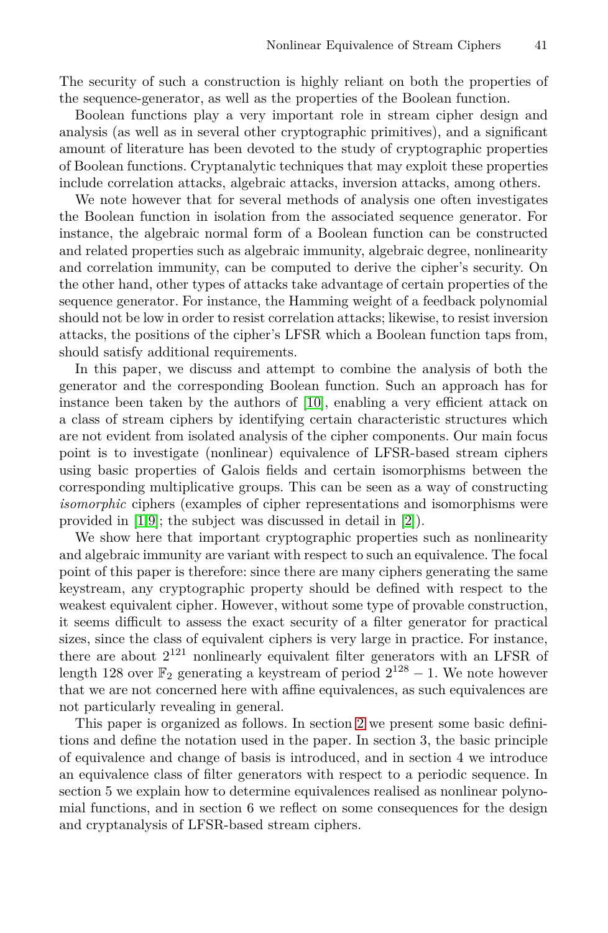The security of such a construction is highly reliant on both the properties of the sequence-generator, as well as the properties of the Boolean function.

Boolean functions play a very important role in stream cipher design and analysis (as well as in several other cryptographic primitives), and a significant amount of literature has been devoted to the study of cryptographic properties of Boolean functions. Cryptanalytic techniques that may exploit these properties include correlation attacks, algebraic attacks, inversion attacks, among others.

We note however that for several methods of analysis one often investigates the Boolean function in isolation from the associated sequence generator. For instance, the algebraic normal form of a Boolean function can be constructed and related properties such as algebraic immunity, algebraic degree, nonlinearity and correlation imm[unit](#page-13-0)y, can be computed to derive the cipher's security. On the other hand, other types of attacks take advantage of certain properties of the sequence generator. For instance, the Hamming weight of a feedback polynomial should not be low in order to resist correlation attacks; likewise, to resist inversion attacks, the positions of the cipher's LFSR which a Boolean function taps from, should satisfy additional requirements.

In this paper, we discuss and attempt to combine the analysis of both the generator and the corresponding Bo[ol](#page-12-0)ean function. Such an approach has for instance been taken by the authors of [10], enabling a very efficient attack on a class of stream ciphers by identifying certain characteristic structures which are not evident from isolated analysis of the cipher components. Our main focus point is to investigate (nonlinear) equivalence of LFSR-based stream ciphers using basic properties of Galois fields and certain isomorphisms between the corresponding multiplicative groups. This can be seen as a way of constructing *isomorphic* ciphers (examples of cipher representations and isomorphisms were provided in [1,9]; the subject was discussed in detail in [2]).

We show here that important cryptographic properties such as nonlinearity and algebraic immunity are variant with respect to such an equivalence. The focal point of this paper is therefore: since there are many ciphers generating the same keystream, any cryptographi[c](#page-2-0) property should be defined with respect to the weakest equivalent cipher. However, without some type of provable construction, it seems difficult to assess the exact security of a filter generator for practical sizes, since the class of equivalent ciphers is very large in practice. For instance, there are about  $2^{121}$  nonlinearly equivalent filter generators with an LFSR of length 128 over  $\mathbb{F}_2$  generating a keystream of period  $2^{128} - 1$ . We note however that we are not concerned here with affine equivalences, as such equivalences are not particularly revealing in general.

This paper is organized as follows. In section 2 we present some basic definitions and define the notation used in the paper. In section 3, the basic principle of equivalence and change of basis is introduced, and in section 4 we introduce an equivalence class of filter generators with respect to a periodic sequence. In section 5 we explain how to determine equivalences realised as nonlinear polynomial functions, and in section 6 we reflect on some consequences for the design and cryptanalysis of LFSR-based stream ciphers.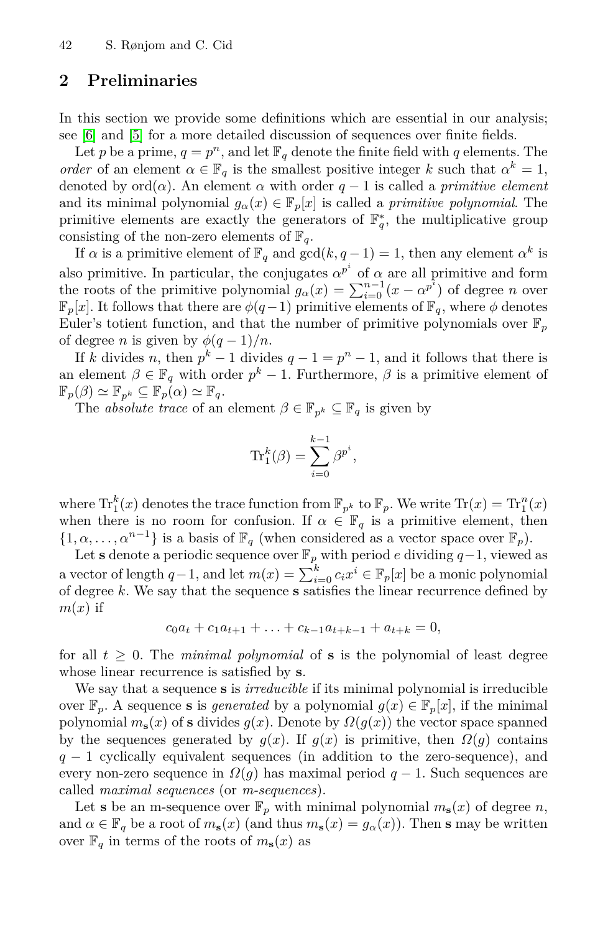## <span id="page-2-0"></span>**2 Preliminaries**

In this section we provide some definitions which are essential in our analysis; see [6] and [5] for a more detailed discussion of sequences over finite fields.

Let *p* be a prime,  $q = p^n$ , and let  $\mathbb{F}_q$  denote the finite field with *q* elements. The *order* of an element  $\alpha \in \mathbb{F}_q$  is the smallest positive integer *k* such that  $\alpha^k = 1$ , denoted by  $\text{ord}(\alpha)$ . An element  $\alpha$  with order  $q-1$  is called a *primitive element* and its minimal polynomial  $g_{\alpha}(x) \in \mathbb{F}_p[x]$  is called a *primitive polynomial*. The primitive elements are exactly the generators of  $\mathbb{F}_q^*$ , the multiplicative group consisting of the non-zero elements of  $\mathbb{F}_q$ .

If  $\alpha$  is a primitive element of  $\mathbb{F}_q$  and  $gcd(k, q - 1) = 1$ , then any element  $\alpha^k$  is also primitive. In particular, the conjugates  $\alpha^{p^i}$  of  $\alpha$  are all primitive and form the roots of the primitive polynomial  $g_{\alpha}(x) = \sum_{i=0}^{n-1} (x - \alpha^{p^i})$  of degree *n* over  $\mathbb{F}_p[x]$ . It follows that there are  $\phi(q-1)$  primitive elements of  $\mathbb{F}_q$ , where  $\phi$  denotes Euler's totient function, and that the number of primitive polynomials over  $\mathbb{F}_p$ of degree *n* is given by  $\phi(q-1)/n$ .

If *k* divides *n*, then  $p^k - 1$  divides  $q - 1 = p^n - 1$ , and it follows that there is an element  $\beta \in \mathbb{F}_q$  with order  $p^k - 1$ . Furthermore,  $\beta$  is a primitive element of  $\mathbb{F}_p(\beta) \simeq \mathbb{F}_{p^k} \subseteq \mathbb{F}_p(\alpha) \simeq \mathbb{F}_q.$ 

The *absolute trace* of an element  $\beta \in \mathbb{F}_{p^k} \subseteq \mathbb{F}_q$  is given by

$$
\operatorname{Tr}_1^k(\beta) = \sum_{i=0}^{k-1} \beta^{p^i},
$$

where  $\text{Tr}_1^k(x)$  denotes the trace function from  $\mathbb{F}_{p^k}$  to  $\mathbb{F}_p$ . We write  $\text{Tr}(x) = \text{Tr}_1^n(x)$ when there is no room for confusion. If  $\alpha \in \mathbb{F}_q$  is a primitive element, then  $\{1, \alpha, \ldots, \alpha^{n-1}\}\$ is a basis of  $\mathbb{F}_q$  (when considered as a vector space over  $\mathbb{F}_p$ ).

Let **s** denote a periodic sequence over  $\mathbb{F}_p$  with period *e* dividing *q*−1, viewed as a vector of length *q*−1, and let  $m(x) = \sum_{i=0}^{k} c_i x^i \in \mathbb{F}_p[x]$  be a monic polynomial of degree *k*. We say that the sequence **s** satisfies the linear recurrence defined by  $m(x)$  if  $m(x)$  if

$$
c_0a_t + c_1a_{t+1} + \ldots + c_{k-1}a_{t+k-1} + a_{t+k} = 0,
$$

for all  $t > 0$ . The *minimal polynomial* of **s** is the polynomial of least degree whose linear recurrence is satisfied by **s**.

We say that a sequence **s** is *irreducible* if its minimal polynomial is irreducible over  $\mathbb{F}_p$ . A sequence **s** is *generated* by a polynomial  $g(x) \in \mathbb{F}_p[x]$ , if the minimal polynomial  $m_s(x)$  of **s** divides  $g(x)$ . Denote by  $\Omega(g(x))$  the vector space spanned by the sequences generated by  $g(x)$ . If  $g(x)$  is primitive, then  $\Omega(g)$  contains *q* − 1 cyclically equivalent sequences (in addition to the zero-sequence), and every non-zero sequence in  $\Omega(g)$  has maximal period  $q-1$ . Such sequences are called *maximal sequences* (or *m-sequences*).

Let **s** be an m-sequence over  $\mathbb{F}_p$  with minimal polynomial  $m_s(x)$  of degree *n*, and  $\alpha \in \mathbb{F}_q$  be a root of  $m_s(x)$  (and thus  $m_s(x) = g_\alpha(x)$ ). Then **s** may be written over  $\mathbb{F}_q$  in terms of the roots of  $m_s(x)$  as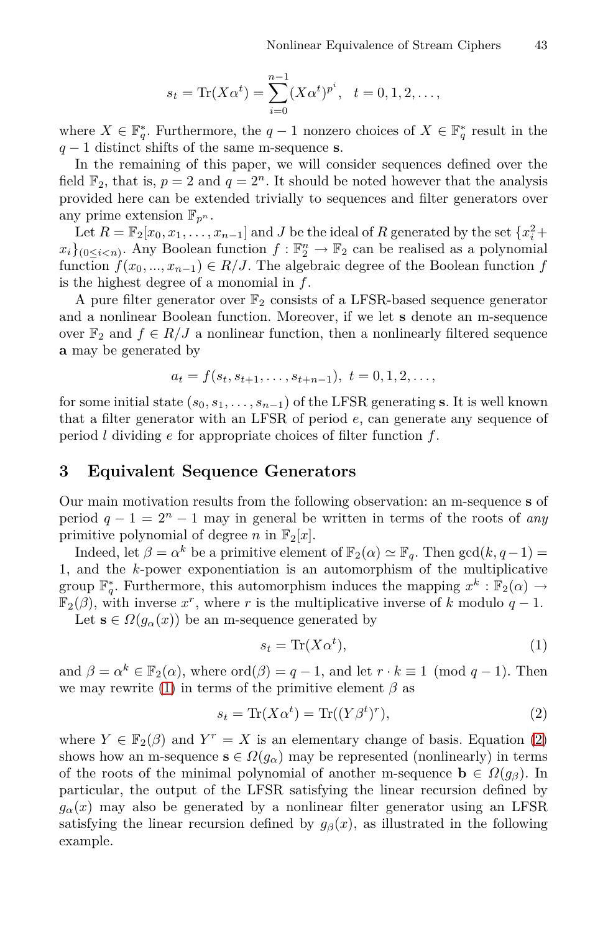$$
s_t = \text{Tr}(X\alpha^t) = \sum_{i=0}^{n-1} (X\alpha^t)^{p^i}, \quad t = 0, 1, 2, \dots,
$$

where  $X \in \mathbb{F}_q^*$ . Furthermore, the  $q-1$  nonzero choices of  $X \in \mathbb{F}_q^*$  result in the  $q-1$  distinct shifts of the same m-sequence **s**.

In the remaining of this paper, we will consider sequences defined over the field  $\mathbb{F}_2$ , that is,  $p = 2$  and  $q = 2^n$ . It should be noted however that the analysis provided here can be extended trivially to sequences and filter generators over any prime extension  $\mathbb{F}_{p^n}$ .

Let  $R = \mathbb{F}_2[x_0, x_1, \ldots, x_{n-1}]$  and *J* be the ideal of *R* generated by the set  $\{x_i^2 + \ldots + x_{n-1}\}$  $x_i\}_{0 \leq i \leq n}$ . Any Boolean function  $f : \mathbb{F}_2^n \to \mathbb{F}_2$  can be realised as a polynomial function  $f(x_0, ..., x_{n-1}) \in R/J$ . The algebraic degree of the Boolean function *f* is the highest degree of a monomial in *f*.

A pure filter generator over  $\mathbb{F}_2$  consists of a LFSR-based sequence generator and a nonlinear Boolean function. Moreover, if we let **s** denote an m-sequence over  $\mathbb{F}_2$  and  $f \in R/J$  a nonlinear function, then a nonlinearly filtered sequence **a** may be generated by

$$
a_t = f(s_t, s_{t+1}, \dots, s_{t+n-1}), \ t = 0, 1, 2, \dots,
$$

for some initial state  $(s_0, s_1, \ldots, s_{n-1})$  of the LFSR generating **s**. It is well known that a filter generator with an LFSR of period *e*, can generate any sequence of period *l* dividing *e* for appropriate choices of filter function *f*.

### **3 Equivalent Sequence Generators**

Our main motivation results from the following observation: an m-sequence **s** of period  $q - 1 = 2^n - 1$  may in general be written in terms of the roots of *any* primitive polynomial of degree *n* in  $\mathbb{F}_2[x]$ .

Indeed, let  $\beta = \alpha^k$  be a primitive element of  $\mathbb{F}_2(\alpha) \simeq \mathbb{F}_q$ . Then  $gcd(k, q-1) =$ 1, and the *k*-power exponentiation is an automorphism of the multiplicative group  $\mathbb{F}_q^*$ . Furthermore, this automorphism induces the mapping  $x^k : \mathbb{F}_2(\alpha) \to$  $\mathbb{F}_2(\beta)$ , with inver[se](#page-3-0)  $x^r$ , where *r* is the multiplicative inverse of *k* modulo  $q-1$ .

Let  $\mathbf{s} \in \Omega(g_{\alpha}(x))$  be an m-sequence generated by

<span id="page-3-0"></span>
$$
s_t = \text{Tr}(X\alpha^t),\tag{1}
$$

and  $\beta = \alpha^k \in \mathbb{F}_2(\alpha)$ , where  $\text{ord}(\beta) = q - 1$ , and let  $r \cdot k \equiv 1 \pmod{q - 1}$ . Then we may rewrite (1) in terms of the primitive element  $\beta$  as

$$
s_t = \text{Tr}(X\alpha^t) = \text{Tr}((Y\beta^t)^r),\tag{2}
$$

<span id="page-3-1"></span>where  $Y \in \mathbb{F}_2(\beta)$  and  $Y^r = X$  is an elementary change of basis. Equation (2) shows how an m-sequence  $\mathbf{s} \in \Omega(g_{\alpha})$  may be represented (nonlinearly) in terms of the roots of the minimal polynomial of another m-sequence  $\mathbf{b} \in \Omega(g_{\beta})$ . In particular, the output of the LFSR satisfying the linear recursion defined by  $g_{\alpha}(x)$  may also be generated by a nonlinear filter generator using an LFSR satisfying the linear recursion defined by  $g_{\beta}(x)$ , as illustrated in the following example.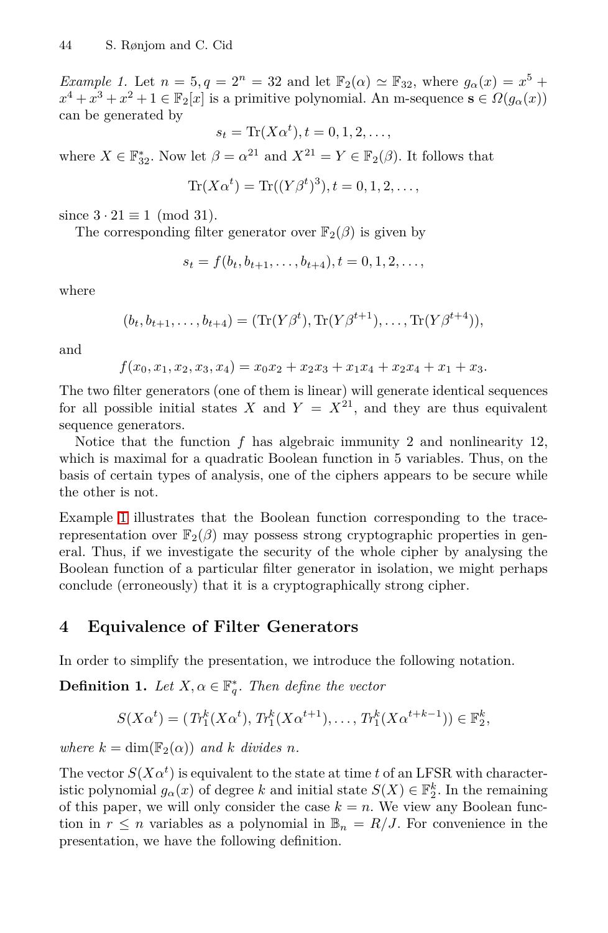*Example 1.* Let  $n = 5, q = 2^n = 32$  and let  $\mathbb{F}_2(\alpha) \simeq \mathbb{F}_{32}$ , where  $g_\alpha(x) = x^5 +$ *<sup>x</sup>*<sup>4</sup> <sup>+</sup> *<sup>x</sup>*<sup>3</sup> <sup>+</sup> *<sup>x</sup>*<sup>2</sup> + 1 <sup>∈</sup> <sup>F</sup>2[*x*] is a primitive polynomial. An m-sequence **s** <sup>∈</sup> *<sup>Ω</sup>*(*gα*(*x*)) can be generated by

$$
s_t = \text{Tr}(X\alpha^t), t = 0, 1, 2, \dots,
$$

where  $X \in \mathbb{F}_{32}^*$ . Now let  $\beta = \alpha^{21}$  and  $X^{21} = Y \in \mathbb{F}_2(\beta)$ . It follows that

$$
\text{Tr}(X\alpha^t) = \text{Tr}((Y\beta^t)^3), t = 0, 1, 2, \dots,
$$

since  $3 \cdot 21 \equiv 1 \pmod{31}$ .

The corresponding filter generator over  $\mathbb{F}_2(\beta)$  is given by

$$
s_t = f(b_t, b_{t+1}, \dots, b_{t+4}), t = 0, 1, 2, \dots,
$$

where

$$
(b_t, b_{t+1}, \ldots, b_{t+4}) = (\text{Tr}(Y\beta^t), \text{Tr}(Y\beta^{t+1}), \ldots, \text{Tr}(Y\beta^{t+4})),
$$

and

$$
f(x_0, x_1, x_2, x_3, x_4) = x_0x_2 + x_2x_3 + x_1x_4 + x_2x_4 + x_1 + x_3.
$$

The two filter generators (one of them is linear) will generate identical sequences for all possible initial states *X* and  $Y = X^{21}$ , and they are thus equivalent sequence generators.

Notice that the function *f* has algebraic immunity 2 and nonlinearity 12, which is maximal for a quadratic Boolean function in 5 variables. Thus, on the basis of certain types of analysis, one of the ciphers appears to be secure while the other is not.

Example 1 illustrates that the Boolean function corresponding to the tracerepresentation over  $\mathbb{F}_2(\beta)$  may possess strong cryptographic properties in general. Thus, if we investigate the security of the whole cipher by analysing the Boolean function of a particular filter generator in isolation, we might perhaps conclude (erroneously) that it is a cryptographically strong cipher.

# **4 Equivalence of Filter Generators**

In order to simplify the presentation, we introduce the following notation.

**Definition 1.** Let  $X, \alpha \in \mathbb{F}_q^*$ . Then define the vector

$$
S(X\alpha^{t}) = (Tr_1^{k}(X\alpha^{t}), Tr_1^{k}(X\alpha^{t+1}), \dots, Tr_1^{k}(X\alpha^{t+k-1})) \in \mathbb{F}_2^{k},
$$

*where*  $k = \dim(\mathbb{F}_2(\alpha))$  *and*  $k$  *divides n*.

The vector  $S(X\alpha^t)$  is equivalent to the state at time *t* of an LFSR with characteristic polynomial  $g_{\alpha}(x)$  of degree *k* and initial state  $S(X) \in \mathbb{F}_2^k$ . In the remaining of this paper, we will only consider the case  $k = n$ . We view any Boolean function in  $r \leq n$  variables as a polynomial in  $\mathbb{B}_n = R/J$ . For convenience in the presentation, we have the following definition.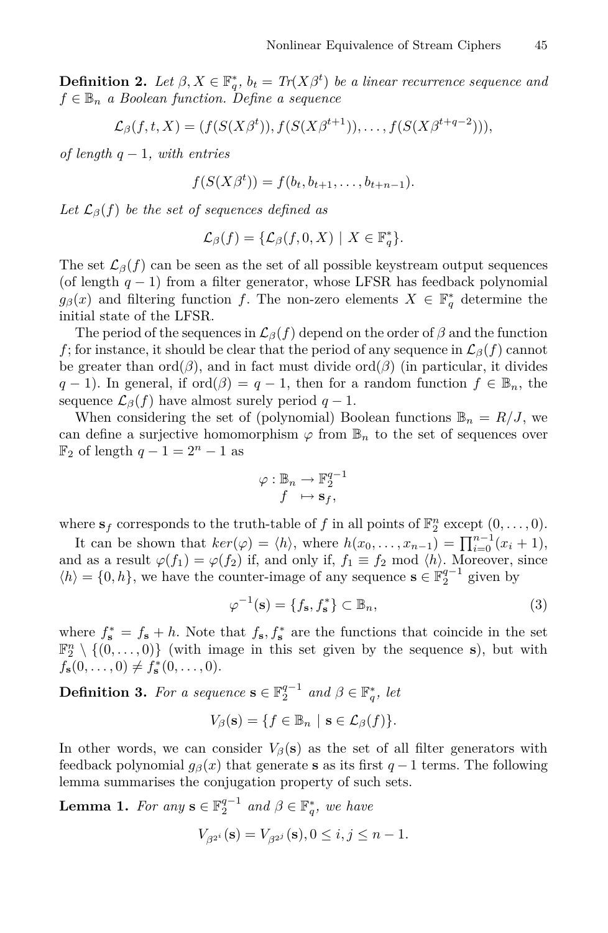**Definition 2.** Let  $\beta, X \in \mathbb{F}_q^*, b_t = Tr(X\beta^t)$  be a linear recurrence sequence and  $f \in \mathbb{R}$ , a Boolean function, Define a sequence  $f \in \mathbb{B}_n$  *a Boolean function. Define a sequence* 

$$
\mathcal{L}_{\beta}(f,t,X)=(f(S(X\beta^{t})),f(S(X\beta^{t+1})),\ldots,f(S(X\beta^{t+q-2}))),
$$

*of length q* − 1*, with entries*

$$
f(S(X\beta^{t})) = f(b_{t}, b_{t+1}, \ldots, b_{t+n-1}).
$$

Let  $\mathcal{L}_{\beta}(f)$  *be the set of sequences defined as* 

$$
\mathcal{L}_{\beta}(f) = \{ \mathcal{L}_{\beta}(f, 0, X) \mid X \in \mathbb{F}_q^* \}.
$$

The set  $\mathcal{L}_{\beta}(f)$  can be seen as the set of all possible keystream output sequences (of length  $q-1$ ) from a filter generator, whose LFSR has feedback polynomial  $g_{\beta}(x)$  and filtering function *f*. The non-zero elements  $X \in \mathbb{F}_q^*$  determine the initial state of the LFSR.

The period of the sequences in  $\mathcal{L}_{\beta}(f)$  depend on the order of  $\beta$  and the function *f*; for instance, it should be clear that the period of any sequence in  $\mathcal{L}_{\beta}(f)$  cannot be greater than  $\text{ord}(\beta)$ , and in fact must divide  $\text{ord}(\beta)$  (in particular, it divides *q* − 1). In general, if  $\text{ord}(\beta) = q - 1$ , then for a random function  $f \in \mathbb{B}_n$ , the sequence  $\mathcal{L}_{\beta}(f)$  have almost surely period  $q-1$ .

When considering the set of (polynomial) Boolean functions  $\mathbb{B}_n = R/J$ , we can define a surjective homomorphism  $\varphi$  from  $\mathbb{B}_n$  to the set of sequences over  $\mathbb{F}_2$  of length  $q-1=2^n-1$  as

$$
\varphi: \mathbb{B}_n \to \mathbb{F}_2^{q-1}
$$

$$
f \mapsto \mathbf{s}_f,
$$

where  $\mathbf{s}_f$  corresponds to the truth-table of *f* in all points of  $\mathbb{F}_2^n$  except  $(0, \ldots, 0)$ .<br>
It can be shown that leads  $\binom{h}{k}$  where  $h(x) = \sum_{i=1}^n \mathbf{H}^{n-1}(x+1)$ .

It can be shown that  $ker(\varphi) = \langle h \rangle$ , where  $h(x_0, \ldots, x_{n-1}) = \prod_{i=0}^{n-1} (x_i + 1)$ , and as a result  $\varphi(f_1) = \varphi(f_2)$  if, and only if,  $f_1 \equiv f_2 \mod \langle h \rangle$ . Moreover, since  $\langle h \rangle = \{0, h\}$ , we have the counter-image of any sequence **s** ∈  $\mathbb{F}_2^{q-1}$  given by

$$
\varphi^{-1}(\mathbf{s}) = \{f_{\mathbf{s}}, f_{\mathbf{s}}^*\} \subset \mathbb{B}_n,\tag{3}
$$

where  $f_s^* = f_s + h$ . Note that  $f_s, f_s^*$  are the functions that coincide in the set  $\mathbb{F}_2^n \setminus \{ (0, \ldots, 0) \}$  (with image in this set given by the sequence **s**), but with  $f(0, 0) \neq f^*(0, 0)$  $f_{\mathbf{s}}(0,\ldots,0) \neq f_{\mathbf{s}}^{*}(0,\ldots,0).$ 

**Definition 3.** For a sequence  $\mathbf{s} \in \mathbb{F}_2^{q-1}$  and  $\beta \in \mathbb{F}_q^*$ , let

$$
V_{\beta}(\mathbf{s}) = \{ f \in \mathbb{B}_n \mid \mathbf{s} \in \mathcal{L}_{\beta}(f) \}.
$$

In other words, we can consider  $V_\beta(s)$  as the set of all filter generators with feedback polynomial  $g_{\beta}(x)$  that generate **s** as its first  $q-1$  terms. The following lemma summarises the conjugation property of such sets.

**Lemma 1.** *For any*  $\mathbf{s} \in \mathbb{F}_2^{q-1}$  *and*  $\beta \in \mathbb{F}_q^*$ *, we have* 

$$
V_{\beta^{2i}}(\mathbf{s}) = V_{\beta^{2j}}(\mathbf{s}), 0 \le i, j \le n - 1.
$$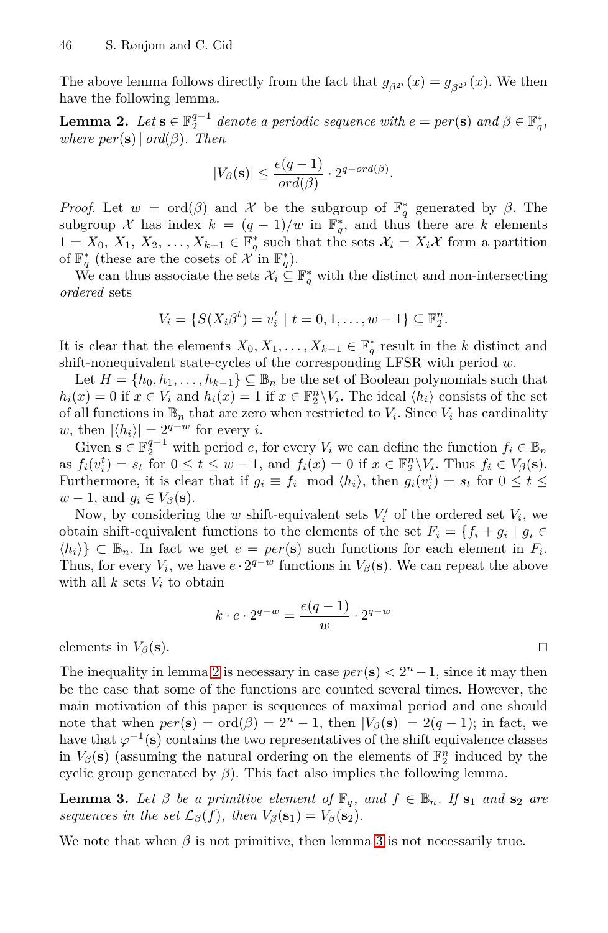<span id="page-6-0"></span>The above lemma follows directly from the fact that  $g_{\beta 2^i}(x) = g_{\beta 2^j}(x)$ . We then have the following lemma.

**Lemma 2.** *Let*  $s \in \mathbb{F}_2^{q-1}$  *denote a periodic sequence with*  $e = per(s)$  *and*  $\beta \in \mathbb{F}_q^*$ *, where ner*(*s*) *ord*( $\beta$ ) *Then where*  $per(s)$  |  $ord(\beta)$ *. Then* 

$$
|V_{\beta}(\mathbf{s})| \le \frac{e(q-1)}{ord(\beta)} \cdot 2^{q-ord(\beta)}.
$$

*Proof.* Let  $w = \text{ord}(\beta)$  and  $\mathcal X$  be the subgroup of  $\mathbb{F}_q^*$  generated by  $\beta$ . The subgroup X has index  $k = (q-1)/w$  in  $\mathbb{F}_q^*$ , and thus there are k elements  $1 = X_0, X_1, X_2, \ldots, X_{k-1} \in \mathbb{F}_q^*$  such that the sets  $\mathcal{X}_i = X_i \mathcal{X}$  form a partition of  $\mathbb{F}_q^*$  (these are the cosets of  $\mathcal{X}$  in  $\mathbb{F}_q^*$ ).

We can thus associate the sets  $\mathcal{X}_i \subseteq \mathbb{F}_q^*$  with the distinct and non-intersecting *ordered* sets

$$
V_i = \{ S(X_i \beta^t) = v_i^t \mid t = 0, 1, \dots, w - 1 \} \subseteq \mathbb{F}_2^n.
$$

It is clear that the elements  $X_0, X_1, \ldots, X_{k-1} \in \mathbb{F}_q^*$  result in the *k* distinct and shift-nonequivalent state-cycles of the corresponding LFSR with period *w*.

Let  $H = \{h_0, h_1, \ldots, h_{k-1}\} \subseteq \mathbb{B}_n$  be the set of Boolean polynomials such that  $h_i(x) = 0$  if  $x \in V_i$  and  $h_i(x) = 1$  if  $x \in \mathbb{F}_2^n \setminus V_i$ . The ideal  $\langle h_i \rangle$  consists of the set of all functions in  $\mathbb{B}_n$  that are zero when restricted to  $V_i$ . Since  $V_i$  has cardinality *w*, then  $|\langle h_i \rangle| = 2^{q-w}$  for every *i*.

Given  $\mathbf{s} \in \mathbb{F}_2^{q-1}$  with period *e*, for every  $V_i$  we can define the function  $f_i \in \mathbb{B}_n$ <br> $f_i(r) = s$ , for  $0 \le t \le w - 1$  and  $f_i(r) = 0$  if  $r \in \mathbb{F}^n \setminus V$ . Thus  $f_i \in V_o(\mathbf{s})$ as  $f_i(v_i^t) = s_i$  for  $0 \le t \le w - 1$ , and  $f_i(x) = 0$  if  $x \in \mathbb{F}_2^n \setminus V_i$ . Thus  $f_i \in V_\beta(\mathbf{s})$ .<br>Furthermore it is clear that if  $a_i = f_i \mod \langle h_i \rangle$ , then  $a_i(v_i^t) = s_i$  for  $0 \le t \le w$ . Furthermore, it is clear that if  $g_i \equiv f_i \mod \langle h_i \rangle$ , then  $g_i(v_i^t) = s_t$  for  $0 \le t \le$  $w - 1$ , and  $g_i \in V_\beta(\mathbf{s})$ .

Now, by considering the *w* shift-equivalent sets  $V_i'$  of the ordered set  $V_i$ , we obtai[n s](#page-6-0)hift-equivalent functions to the elements of the set  $F_i = \{f_i + q_i \mid q_i \in$  $\langle h_i \rangle$   $\subset \mathbb{B}_n$ . In fact we get  $e = per(\mathbf{s})$  such functions for each element in *F<sub>i</sub>*.<br>Thus for every *V*, we have  $e \cdot 2^{q-w}$  functions in *V<sub>a</sub>*(s). We can repeat the above Thus, for every *V<sub>i</sub>*, we have  $e \cdot 2^{q-w}$  functions in *V*<sub> $\beta$ </sub>(s). We can repeat the above with all  $k$  sets  $V_i$  to obtain

$$
k \cdot e \cdot 2^{q-w} = \frac{e(q-1)}{w} \cdot 2^{q-w}
$$

<span id="page-6-1"></span>elements in  $V_\beta(\mathbf{s})$ .

The inequality in lemma 2 is necessary in case  $per(s) < 2^n - 1$ , since it may then be the case that some of the functions are counted several times. However, the main motivation of this paper i[s](#page-6-1) sequences of maximal period and one should note that when  $per(\mathbf{s}) = ord(\beta) = 2^n - 1$ , then  $|V_\beta(\mathbf{s})| = 2(q-1)$ ; in fact, we have that  $\varphi^{-1}(\mathbf{s})$  contains the two representatives of the shift equivalence classes in  $V_\beta(\mathbf{s})$  (assuming the natural ordering on the elements of  $\mathbb{F}_2^n$  induced by the cyclic group generated by  $\beta$ ). This fact also implies the following lemma cyclic group generated by  $\beta$ ). This fact also implies the following lemma.

**Lemma 3.** Let  $\beta$  be a primitive element of  $\mathbb{F}_q$ , and  $f \in \mathbb{B}_n$ . If  $s_1$  and  $s_2$  are *sequences in the set*  $\mathcal{L}_{\beta}(f)$ *, then*  $V_{\beta}(\mathbf{s}_1) = V_{\beta}(\mathbf{s}_2)$ *.* 

We note that when  $\beta$  is not primitive, then lemma 3 is not necessarily true.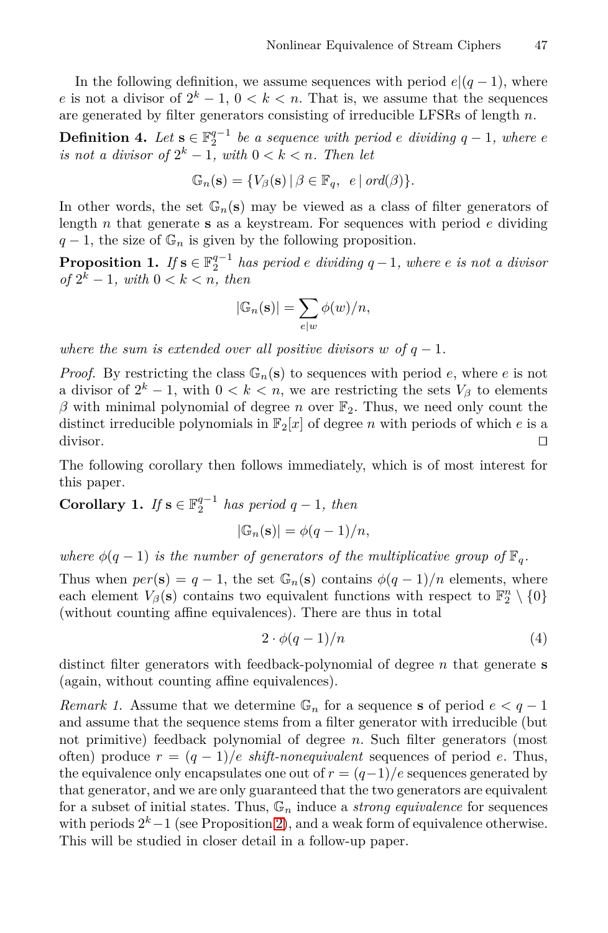In the following definition, we assume sequences with period  $e|(q-1)$ , where *e* is not a divisor of  $2^k - 1$ ,  $0 < k < n$ . That is, we assume that the sequences are generated by filter generators consisting of irreducible LFSRs of length *n*.

**Definition 4.** *Let*  $\mathbf{s} \in \mathbb{F}_2^{q-1}$  *be a sequence with period e dividing*  $q-1$ *, where e is not a divisor of*  $2^k - 1$ , *with*  $0 \le k \le p$ . Then let *is not a divisor of*  $2^k - 1$ *, with*  $0 < k < n$ *. Then let* 

$$
\mathbb{G}_n(\mathbf{s}) = \{ V_\beta(\mathbf{s}) \, | \, \beta \in \mathbb{F}_q, \ e \, | \, \text{ord}(\beta) \}.
$$

In other words, the set  $\mathbb{G}_n(s)$  may be viewed as a class of filter generators of length *<sup>n</sup>* that generate **s** as a keystream. For sequences with period *<sup>e</sup>* dividing  $q-1$ , the size of  $\mathbb{G}_n$  is given by the following proposition.

**Proposition 1.** *If*  $\mathbf{s} \in \mathbb{F}_2^{q-1}$  *has period e dividing*  $q-1$ *, where e is not a divisor*  $\alpha^f 2^k - 1$  *with*  $0 \le k \le n$  *then of*  $2^k - 1$ *, with*  $0 \lt k \lt n$ *, then* 

$$
|\mathbb{G}_n(\mathbf{s})| = \sum_{e|w} \phi(w)/n,
$$

*where the sum is extended over all positive divisors*  $w$  *of*  $q - 1$ *.* 

*Proof.* By restricting the class  $\mathbb{G}_n(\mathbf{s})$  to sequences with period *e*, where *e* is not a divisor of  $2^k - 1$ , with  $0 \leq k \leq n$ , we are restricting the sets  $V_\beta$  to elements  $β$  with minimal polynomial of degree *n* over  $\mathbb{F}_2$ . Thus, we need only count the distinct irreducible polynomials in  $\mathbb{F}_2[x]$  of degree *n* with periods of which *e* is a divisor.

The following corollary then follows immediately, which is of most interest for this paper.

**Corollary 1.** *If*  $\mathbf{s} \in \mathbb{F}_2^{q-1}$  *has period*  $q-1$ *, then* 

$$
|\mathbb{G}_n(\mathbf{s})| = \phi(q-1)/n,
$$

*where*  $\phi(q-1)$  *is the number of generators of the multiplicative group of*  $\mathbb{F}_q$ *.* Thus when  $per(\mathbf{s}) = q - 1$ , the set  $\mathbb{G}_n(\mathbf{s})$  contains  $\phi(q-1)/n$  elements, where each element  $V_\beta(\mathbf{s})$  contains two equivalent functions with respect to  $\mathbb{F}_2^n \setminus \{0\}$ <br>(without counting affine equivalences). There are thus in total (without counting affine equivalences). There are thus in total

$$
2 \cdot \phi(q-1)/n \tag{4}
$$

distinct filter generators with feedback-polynomial of degree *<sup>n</sup>* that generate **s** (again, without [co](#page-9-0)unting affine equivalences).

*Remark 1.* Assume that we determine  $\mathbb{G}_n$  for a sequence **s** of period  $e < q - 1$ and assume that the sequence stems from a filter generator with irreducible (but not primitive) feedback polynomial of degree *n*. Such filter generators (most often) produce  $r = (q - 1)/e$  *shift-nonequivalent* sequences of period *e*. Thus, the equivalence only encapsulates one out of  $r = (q-1)/e$  sequences generated by that generator, and we are only guaranteed that the two generators are equivalent for a subset of initial states. Thus, G*<sup>n</sup>* induce a *strong equivalence* for sequences with periods  $2<sup>k</sup> - 1$  (see Proposition 2), and a weak form of equivalence otherwise. This will be studied in closer detail in a follow-up paper.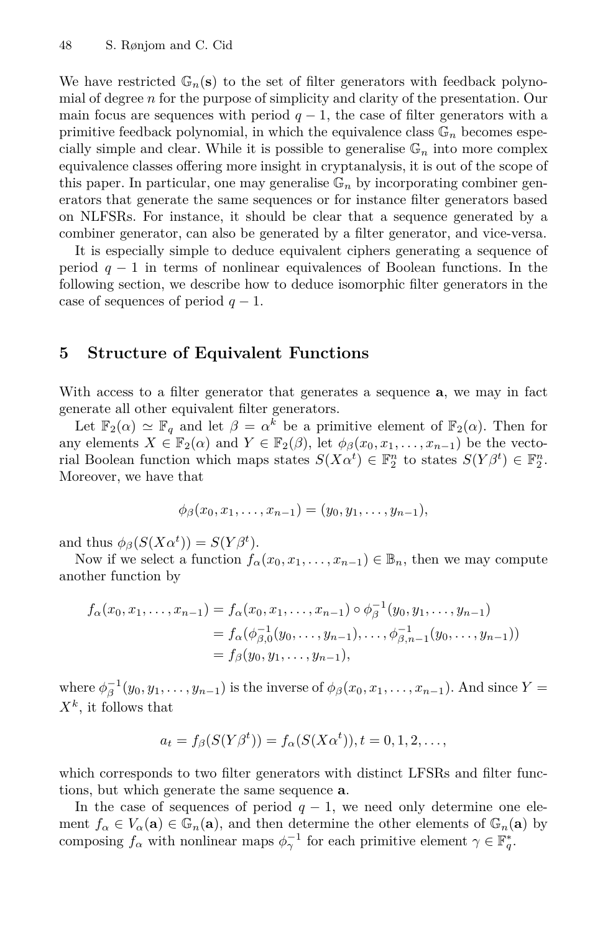We have restricted  $\mathbb{G}_n(s)$  to the set of filter generators with feedback polynomial of degree *n* for the purpose of simplicity and clarity of the presentation. Our main focus are sequences with period  $q-1$ , the case of filter generators with a primitive feedback polynomial, in which the equivalence class  $\mathbb{G}_n$  becomes especially simple and clear. While it is possible to generalise  $\mathbb{G}_n$  into more complex equivalence classes offering more insight in cryptanalysis, it is out of the scope of this paper. In particular, one may generalise  $\mathbb{G}_n$  by incorporating combiner generators that generate the same sequences or for instance filter generators based on NLFSRs. For instance, it should be clear that a sequence generated by a combiner generator, can also be generated by a filter generator, and vice-versa.

It is especially simple to deduce equivalent ciphers generating a sequence of period *q* − 1 in terms of nonlinear equivalences of Boolean functions. In the following section, we describe how to deduce isomorphic filter generators in the case of sequences of period  $q - 1$ .

# **5 Structure of Equivalent Functions**

With access to a filter generator that generates a sequence **a**, we may in fact generate all other equivalent filter generators.

Let  $\mathbb{F}_2(\alpha) \simeq \mathbb{F}_q$  and let  $\beta = \alpha^k$  be a primitive element of  $\mathbb{F}_2(\alpha)$ . Then for any elements  $X \in \mathbb{F}_2(\alpha)$  and  $Y \in \mathbb{F}_2(\beta)$ , let  $\phi_\beta(x_0, x_1, \ldots, x_{n-1})$  be the vectorial Boolean function which maps states  $S(X\alpha^t) \in \mathbb{F}_2^n$  to states  $S(Y\beta^t) \in \mathbb{F}_2^n$ . Moreover, we have that

$$
\phi_{\beta}(x_0, x_1, \ldots, x_{n-1}) = (y_0, y_1, \ldots, y_{n-1}),
$$

and thus  $\phi_{\beta}(S(X\alpha^t)) = S(Y\beta^t)$ .

Now if we select a function  $f_\alpha(x_0, x_1, \ldots, x_{n-1}) \in \mathbb{B}_n$ , then we may compute another function by

$$
f_{\alpha}(x_0, x_1, \dots, x_{n-1}) = f_{\alpha}(x_0, x_1, \dots, x_{n-1}) \circ \phi_{\beta}^{-1}(y_0, y_1, \dots, y_{n-1})
$$
  
=  $f_{\alpha}(\phi_{\beta,0}^{-1}(y_0, \dots, y_{n-1}), \dots, \phi_{\beta,n-1}^{-1}(y_0, \dots, y_{n-1}))$   
=  $f_{\beta}(y_0, y_1, \dots, y_{n-1}),$ 

where  $\phi_{\beta}^{-1}(y_0, y_1, \ldots, y_{n-1})$  is the inverse of  $\phi_{\beta}(x_0, x_1, \ldots, x_{n-1})$ . And since  $Y =$  $X^k$ , it follows that

$$
a_t = f_{\beta}(S(Y\beta^t)) = f_{\alpha}(S(X\alpha^t)), t = 0, 1, 2, \dots,
$$

which corresponds to two filter generators with distinct LFSRs and filter functions, but which generate the same sequence **a**.

In the case of sequences of period  $q - 1$ , we need only determine one element  $f_\alpha \in V_\alpha(\mathbf{a}) \in \mathbb{G}_n(\mathbf{a})$ , and then determine the other elements of  $\mathbb{G}_n(\mathbf{a})$  by composing  $f_{\alpha}$  with nonlinear maps  $\phi_{\gamma}^{-1}$  for each primitive element  $\gamma \in \mathbb{F}_q^*$ .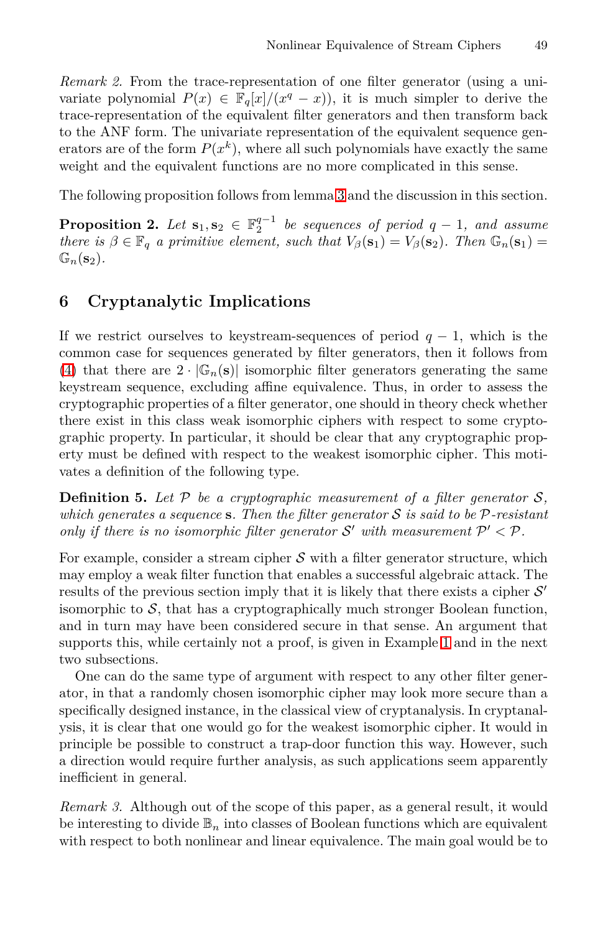<span id="page-9-0"></span>*Remark 2.* From the trace-representation of one filter generator (using a univariate polynomial  $P(x) \in \mathbb{F}_q[x]/(x^q-x)$ , it is much simpler to derive the trace-representation of the equivalent filter generators and then transform back to the ANF form. The univariate representation of the equivalent sequence generators are of the form  $P(x^k)$ , where all such polynomials have exactly the same weight and the equivalent functions are no more complicated in this sense.

The following proposition follows from lemma 3 and the discussion in this section.

**Proposition 2.** *Let*  $\mathbf{s}_1, \mathbf{s}_2 \in \mathbb{F}_2^{q-1}$  *be sequences of period*  $q-1$ *, and assume*<br>*there is*  $\beta \in \mathbb{F}$  *a primitive element, such that*  $V_2(\mathbf{s}_1) - V_2(\mathbf{s}_2)$  *Then*  $\mathbb{G}$ ,  $(\mathbf{s}_1)$ *there is*  $\beta \in \mathbb{F}_q$  *a primitive element, such that*  $V_\beta(\mathbf{s}_1) = V_\beta(\mathbf{s}_2)$ *. Then*  $\mathbb{G}_n(\mathbf{s}_1) = \mathbb{G}_n(\mathbf{s}_2)$  $\mathbb{G}_n(\mathbf{s}_2)$ .

# **6 Cryptanalytic Implications**

If we restrict ourselves to keystream-sequences of period  $q - 1$ , which is the common case for sequences generated by filter generators, then it follows from (4) that there are  $2 \cdot |\mathbb{G}_n(\mathbf{s})|$  isomorphic filter generators generating the same keystream sequence, excluding affine equivalence. Thus, in order to assess the cryptographic properties of a filter generator, one should in theory check whether there exist in this class weak isomorphic ciphers with respect to some cryptographic property. In particular, it should be clear that any cryptographic property must be defined with respect to the weakest isomorphic cipher. This motivates a definition of the following type.

**Definition 5.** Let  $P$  be a cryptographic measurement of a filter generator  $S$ , *which generates a sequence* **s***. Then the filte[r g](#page-3-1)enerator* <sup>S</sup> *is said to be* <sup>P</sup>*-resistant only if there is no isomorphic filter generator*  $S'$  *with measurement*  $P' < P$ *.* 

For example, consider a stream cipher  $S$  with a filter generator structure, which may employ a weak filter function that enables a successful algebraic attack. The results of the previous section imply that it is likely that there exists a cipher  $\mathcal{S}'$ isomorphic to  $\mathcal{S}$ , that has a cryptographically much stronger Boolean function, and in turn may have been considered secure in that sense. An argument that supports this, while certainly not a proof, is given in Example 1 and in the next two subsections.

One can do the same type of argument with respect to any other filter generator, in that a randomly chosen isomorphic cipher may look more secure than a specifically designed instance, in the classical view of cryptanalysis. In cryptanalysis, it is clear that one would go for the weakest isomorphic cipher. It would in principle be possible to construct a trap-door function this way. However, such a direction would require further analysis, as such applications seem apparently inefficient in general.

*Remark 3.* Although out of the scope of this paper, as a general result, it would be interesting to divide  $\mathbb{B}_n$  into classes of Boolean functions which are equivalent with respect to both nonlinear and linear equivalence. The main goal would be to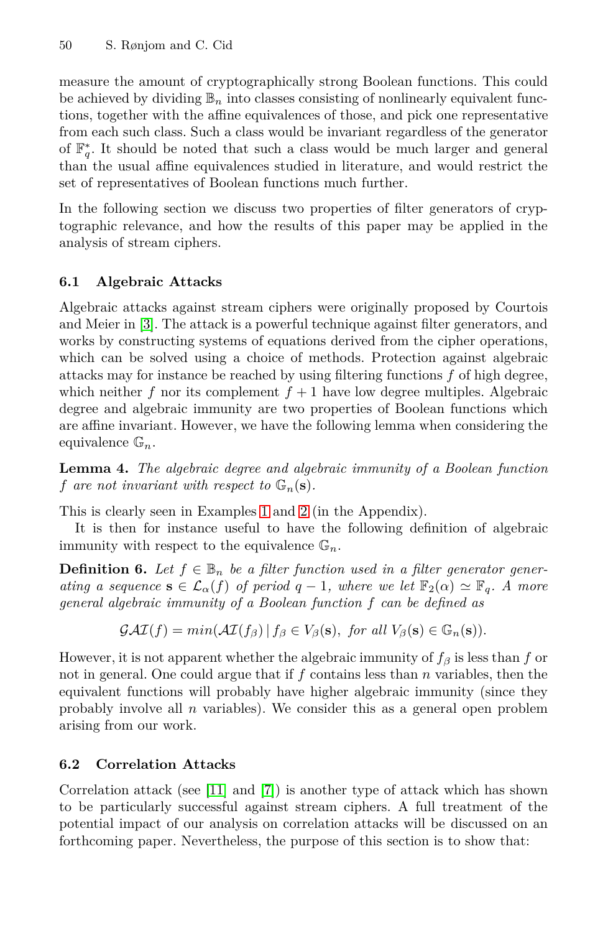measure the amount of cryptographically strong Boolean functions. This could be achieved by dividing  $\mathbb{B}_n$  into classes consisting of nonlinearly equivalent functions, together with the affine equivalences of those, and pick one representative from each such class. Such a class would be invariant regardless of the generator of  $\mathbb{F}_q^*$ . It should be noted that such a class would be much larger and general than the usual affine equivalences studied in literature, and would restrict the set of representatives of Boolean functions much further.

In the following section we discuss two properties of filter generators of cryptographic relevance, and how the results of this paper may be applied in the analysis of stream ciphers.

#### $6.1$ **6.1 Algebraic Attacks**

Algebraic attacks against stream ciphers were originally proposed by Courtois and Meier in [3]. The attack is a powerful technique against filter generators, and works by constructing systems of equations derived from the cipher operations, which can be solved using a choice of methods. Protection against algebraic attacks may f[or](#page-3-1) inst[an](#page-13-1)ce be reached by using filtering functions *f* of high degree, which neither  $f$  nor its complement  $f + 1$  have low degree multiples. Algebraic degree and algebraic immunity are two properties of Boolean functions which are affine invariant. However, we have the following lemma when considering the equivalence G*n*.

**Lemma 4.** *The algebraic degree and algebraic immunity of a Boolean function f* are not invariant with respect to  $\mathbb{G}_n(\mathbf{s})$ .

This is clearly seen in Examples 1 and 2 (in the Appendix).

It is then for instance useful to have the following definition of algebraic immunity with respect to the equivalence  $\mathbb{G}_n$ .

**Definition 6.** Let  $f \in \mathbb{B}_n$  be a filter function used in a filter generator gener*ating a sequence*  $\mathbf{s} \in \mathcal{L}_{\alpha}(f)$  *of period*  $q - 1$ *, where we let*  $\mathbb{F}_2(\alpha) \simeq \mathbb{F}_q$ *. A more general algebraic immunity of a Boolean function f can be defined as*

$$
\mathcal{GAT}(f) = min(\mathcal{AI}(f_{\beta}) | f_{\beta} \in V_{\beta}(\mathbf{s}), \text{ for all } V_{\beta}(\mathbf{s}) \in \mathbb{G}_n(\mathbf{s})).
$$

How[ever](#page-13-2), it is [no](#page-12-1)t apparent whether the algebraic immunity of  $f_\beta$  is less than  $f$  or not in general. One could argue that if *f* contains less than *n* variables, then the equivalent functions will probably have higher algebraic immunity (since they probably involve all *n* variables). We consider this as a general open problem arising from our work.

#### $6.2$ **Correlation Attacks**

Correlation attack (see [11] and [7]) is another type of attack which has shown to be particularly successful against stream ciphers. A full treatment of the potential impact of our analysis on correlation attacks will be discussed on an forthcoming paper. Nevertheless, the purpose of this section is to show that: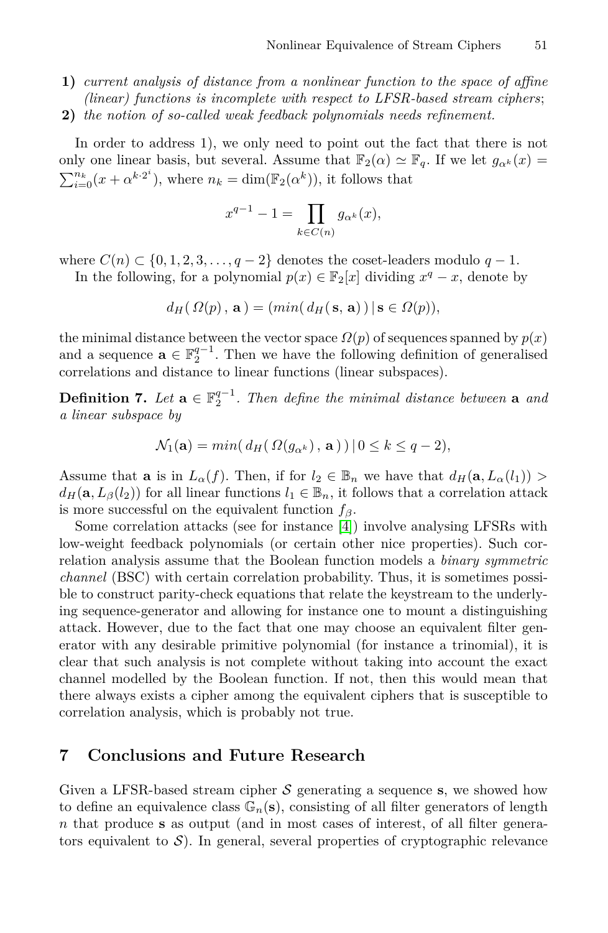- **1)** *current analysis of distance from a nonlinear function to the space of affine (linear) functions is incomplete with respect to LFSR-based stream ciphers*; **2)** *the notion of so-called weak feedback polynomials needs refinement.*
- In order to address 1), we only need to point out the fact that there is not only one linear basis, but several. Assume that  $\mathbb{F}_2(\alpha) \simeq \mathbb{F}_q$ . If we let  $g_{\alpha^k}(x) =$  $\sum_{i=0}^{n_k} (x + \alpha^{k \cdot 2^i})$ , where  $n_k = \dim(\mathbb{F}_2(\alpha^k))$ , it follows that

$$
x^{q-1} - 1 = \prod_{k \in C(n)} g_{\alpha^k}(x),
$$

where  $C(n) \subset \{0, 1, 2, 3, \ldots, q-2\}$  denotes the coset-leaders modulo  $q-1$ . In the following, for a polynomial  $p(x) \in \mathbb{F}_2[x]$  dividing  $x^q - x$ , denote by

$$
d_H(\Omega(p),\mathbf{a})=(min(d_H(\mathbf{s},\mathbf{a}))\,|\,\mathbf{s}\in\Omega(p)),
$$

the minimal distance between the vector space  $\Omega(p)$  of sequences spanned by  $p(x)$  and a sequence  $\mathbf{a} \in \mathbb{F}_2^{q-1}$ . Then we have the following definition of generalised correlations and distance to linear functions correlations and distance to linear functions (linear subspaces).

**Definition 7.** Let  $\mathbf{a} \in \mathbb{F}_2^{q-1}$ . Then define the minimal distance between  $\mathbf{a}$  and  $\mathbf{a}$  linear subspace by *a linear subspace by*

$$
\mathcal{N}_1(\mathbf{a}) = \min(d_H(\Omega(g_{\alpha^k}), \mathbf{a})) \, | \, 0 \le k \le q-2),
$$

Assume that **a** is in  $L_{\alpha}(f)$ . Then, if for  $l_2 \in \mathbb{B}_n$  we have that  $d_H(\mathbf{a}, L_{\alpha}(l_1)) >$  $d_H(a, L_\beta(l_2))$  for all linear functions  $l_1 \in \mathbb{B}_n$ , it follows that a correlation attack is more successful on the equivalent function  $f_\beta$ .

Some correlation attacks (see for instance [4]) involve analysing LFSRs with low-weight feedback polynomials (or certain other nice properties). Such correlation analysis assume that the Boolean function models a *binary symmetric channel* (BSC) with certain correlation probability. Thus, it is sometimes possible to construct parity-check equations that relate the keystream to the underlying sequence-generator and allowing for instance one to mount a distinguishing attack. However, due to the fact that one may choose an equivalent filter generator with any desirable primitive polynomial (for instance a trinomial), it is clear that such analysis is not complete without taking into account the exact channel modelled by the Boolean function. If not, then this would mean that there always exists a cipher among the equivalent ciphers that is susceptible to correlation analysis, which is probably not true.

# **7 Conclusions and Future Research**

Given a LFSR-based stream cipher  $S$  generating a sequence **s**, we showed how to define an equivalence class  $\mathbb{G}_n(s)$ , consisting of all filter generators of length *<sup>n</sup>* that produce **s** as output (and in most cases of interest, of all filter generators equivalent to  $S$ ). In general, several properties of cryptographic relevance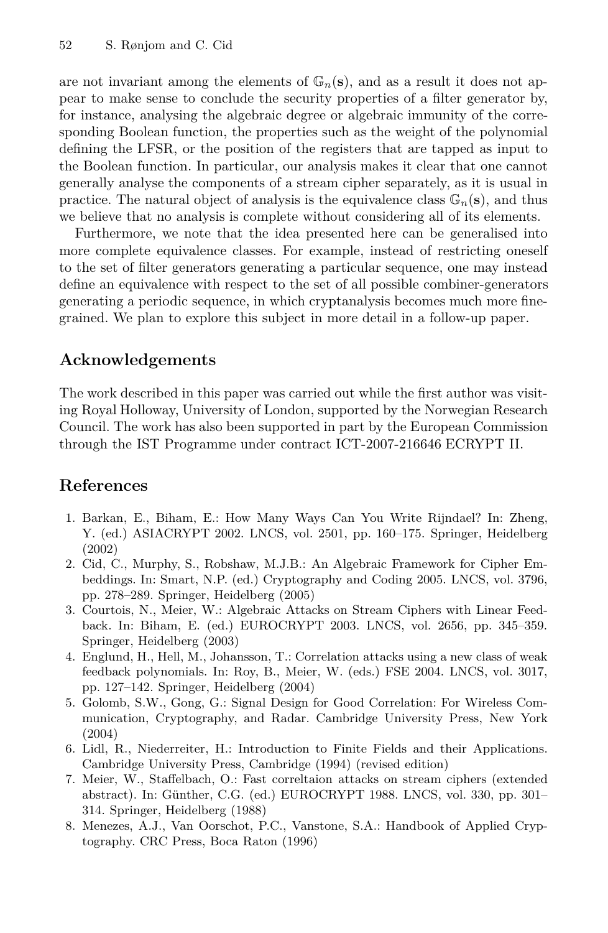are not invariant among the elements of  $\mathbb{G}_n(s)$ , and as a result it does not appear to make sense to conclude the security properties of a filter generator by, for instance, analysing the algebraic degree or algebraic immunity of the corresponding Boolean function, the properties such as the weight of the polynomial defining the LFSR, or the position of the registers that are tapped as input to the Boolean function. In particular, our analysis makes it clear that one cannot generally analyse the components of a stream cipher separately, as it is usual in practice. The natural object of analysis is the equivalence class  $\mathbb{G}_n(s)$ , and thus we believe that no analysis is complete without considering all of its elements.

Furthermore, we note that the idea presented here can be generalised into more complete equivalence classes. For example, instead of restricting oneself to the set of filter generators generating a particular sequence, one may instead define an equivalence with respect to the set of all possible combiner-generators generating a periodic sequence, in which cryptanalysis becomes much more finegrained. We plan to explore this subject in more detail in a follow-up paper.

# **Acknowledgements**

The work described in this paper was carried out while the first author was visiting Royal Holloway, University of London, supported by the Norwegian Research Council. The work has also been supported in part by the European Commission through the IST Programme under contract ICT-2007-216646 ECRYPT II.

# **References**

- 1. Barkan, E., Biham, E.: How Many Ways Can You Write Rijndael? In: Zheng, Y. (ed.) ASIACRYPT 2002. LNCS, vol. 2501, pp. 160–175. Springer, Heidelberg (2002)
- <span id="page-12-0"></span>2. Cid, C., Murphy, S., Robshaw, M.J.B.: An Algebraic Framework for Cipher Embeddings. In: Smart, N.P. (ed.) Cryptography and Coding 2005. LNCS, vol. 3796, pp. 278–289. Springer, Heidelberg (2005)
- 3. Courtois, N., Meier, W.: Algebraic Attacks on Stream Ciphers with Linear Feedback. In: Biham, E. (ed.) EUROCRYPT 2003. LNCS, vol. 2656, pp. 345–359. Springer, Heidelberg (2003)
- <span id="page-12-2"></span>4. Englund, H., Hell, M., Johansson, T.: Correlation attacks using a new class of weak feedback polynomials. In: Roy, B., Meier, W. (eds.) FSE 2004. LNCS, vol. 3017, pp. 127–142. Springer, Heidelberg (2004)
- 5. Golomb, S.W., Gong, G.: Signal Design for Good Correlation: For Wireless Communication, Cryptography, and Radar. Cambridge University Press, New York (2004)
- 6. Lidl, R., Niederreiter, H.: Introduction to Finite Fields and their Applications. Cambridge University Press, Cambridge (1994) (revised edition)
- <span id="page-12-1"></span>7. Meier, W., Staffelbach, O.: Fast correltaion attacks on stream ciphers (extended abstract). In: Günther, C.G. (ed.) EUROCRYPT 1988. LNCS, vol. 330, pp. 301– 314. Springer, Heidelberg (1988)
- 8. Menezes, A.J., Van Oorschot, P.C., Vanstone, S.A.: Handbook of Applied Cryptography. CRC Press, Boca Raton (1996)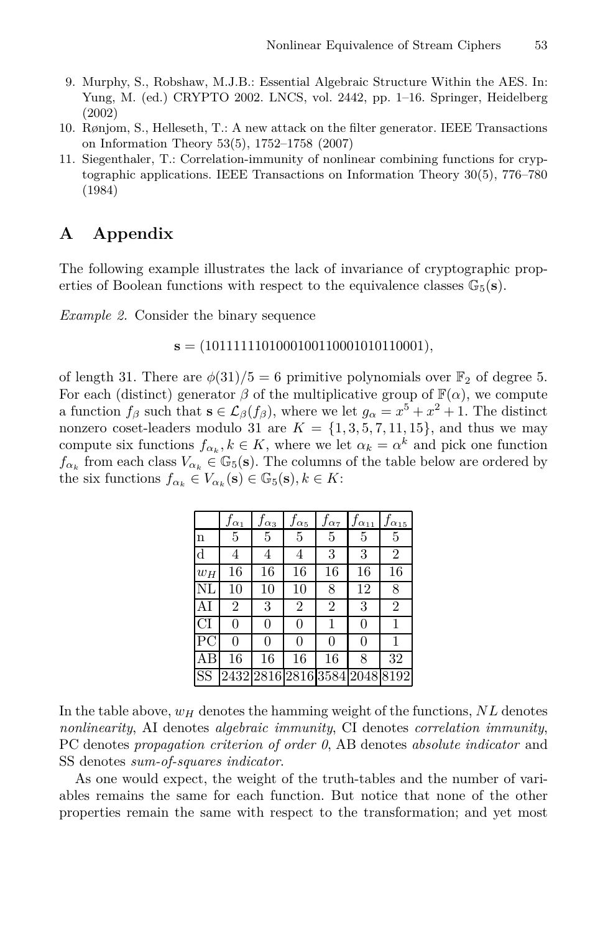- 9. Murphy, S., Robshaw, M.J.B.: Essential Algebraic Structure Within the AES. In: Yung, M. (ed.) CRYPTO 2002. LNCS, vol. 2442, pp. 1–16. Springer, Heidelberg (2002)
- <span id="page-13-0"></span>10. Rønjom, S., Helleseth, T.: A new attack on the filter generator. IEEE Transactions on Information Theory 53(5), 1752–1758 (2007)
- <span id="page-13-2"></span>11. Siegenthaler, T.: Correlation-immunity of nonlinear combining functions for cryptographic applications. IEEE Transactions on Information Theory 30(5), 776–780 (1984)

# **A Appendix**

<span id="page-13-1"></span>The following example illustrates the lack of invariance of cryptographic properties of Boolean functions with respect to the equivalence classes  $\mathbb{G}_{5}(\mathbf{s})$ .

*Example 2.* Consider the binary sequence

**s** = (1011111101000100110001010110001)*,*

of length 31. There are  $\phi(31)/5 = 6$  primitive polynomials over  $\mathbb{F}_2$  of degree 5. For each (distinct) generator  $\beta$  of the multiplicative group of  $\mathbb{F}(\alpha)$ , we compute a function  $f_\beta$  such that  $\mathbf{s} \in \mathcal{L}_\beta(f_\beta)$ , where we let  $g_\alpha = x^5 + x^2 + 1$ . The distinct nonzero coset-leaders modulo 31 are  $K = \{1, 3, 5, 7, 11, 15\}$ , and thus we may compute six functions  $f_{\alpha_k}, k \in K$ , where we let  $\alpha_k = \alpha^k$  and pick one function  $f_{\alpha_k}$  from each class  $V_{\alpha_k} \in \mathbb{G}_5(\mathbf{s})$ . The columns of the table below are ordered by the six functions  $f_{\alpha_k} \in V_{\alpha_k}(\mathbf{s}) \in \mathbb{G}_5(\mathbf{s}), k \in K$ :

|                         | $f_{\alpha_1}$ | $f_{\alpha_3}$           | $f_{\alpha_5}$ | $f_{\alpha_7}$ | $f_{\alpha_{11}}$ | $J\alpha_{15}$ |
|-------------------------|----------------|--------------------------|----------------|----------------|-------------------|----------------|
| $\mathbf n$             | 5              | 5                        | 5              | 5              | 5                 | 5              |
| $\overline{\mathrm{d}}$ | 4              | 4                        | 4              | 3              | 3                 | $\overline{2}$ |
| $w_H$                   | 16             | 16                       | 16             | 16             | 16                | 16             |
| ÑЬ                      | 10             | 10                       | 10             | 8              | 12                | 8              |
| AI                      | $\overline{2}$ | 3                        | $\overline{2}$ | $\overline{2}$ | 3                 | $\overline{2}$ |
| $\overline{\text{CI}}$  | 0              | 0                        | 0              | 1              | 0                 | 1              |
| $\overline{\rm PC}$     | 0              | 0                        | 0              | 0              | 0                 | 1              |
| AВ                      | 16             | 16                       | 16             | 16             | 8                 | 32             |
| SS                      |                | 2432 2816 2816 3584 2048 |                |                |                   | 8192           |

In the table above,  $w_H$  denotes the hamming weight of the functions,  $NL$  denotes *nonlinearity*, AI denotes *algebraic immunity*, CI denotes *correlation immunity*, PC denotes *propagation criterion of order 0*, AB denotes *absolute indicator* and SS denotes *sum-of-squares indicator*.

As one would expect, the weight of the truth-tables and the number of variables remains the same for each function. But notice that none of the other properties remain the same with respect to the transformation; and yet most